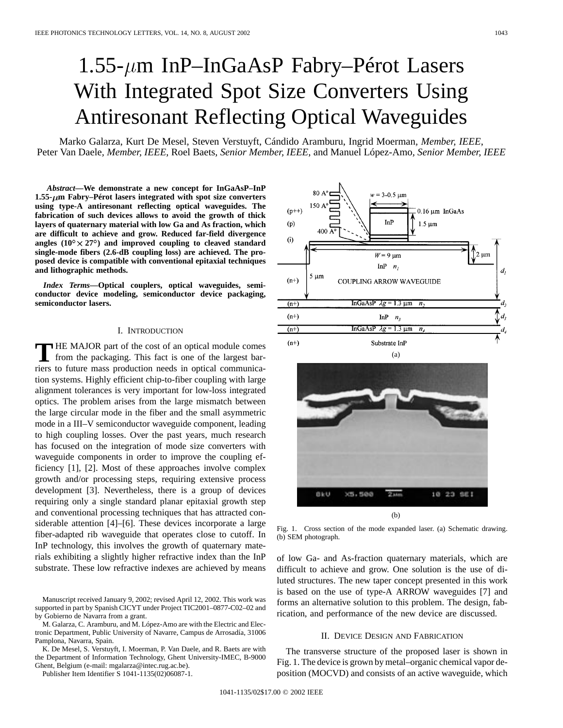# $1.55$ - $\mu$ m InP–InGaAsP Fabry–Pérot Lasers With Integrated Spot Size Converters Using Antiresonant Reflecting Optical Waveguides

Marko Galarza, Kurt De Mesel, Steven Verstuyft, Cándido Aramburu, Ingrid Moerman*, Member, IEEE*, Peter Van Daele*, Member, IEEE*, Roel Baets*, Senior Member, IEEE*, and Manuel López-Amo*, Senior Member, IEEE*

*Abstract—***We demonstrate a new concept for InGaAsP–InP 1.55- m Fabry–Pérot lasers integrated with spot size converters using type-A antiresonant reflecting optical waveguides. The fabrication of such devices allows to avoid the growth of thick layers of quaternary material with low Ga and As fraction, which are difficult to achieve and grow. Reduced far-field divergence** angles  $(10^{\circ} \times 27^{\circ})$  and improved coupling to cleaved standard **single-mode fibers (2.6-dB coupling loss) are achieved. The proposed device is compatible with conventional epitaxial techniques and lithographic methods.**

*Index Terms—***Optical couplers, optical waveguides, semiconductor device modeling, semiconductor device packaging, semiconductor lasers.**

## I. INTRODUCTION

**T** HE MAJOR part of the cost of an optical module comes from the packaging. This fact is one of the largest barriers to future mass production needs in optical communication systems. Highly efficient chip-to-fiber coupling with large alignment tolerances is very important for low-loss integrated optics. The problem arises from the large mismatch between the large circular mode in the fiber and the small asymmetric mode in a III–V semiconductor waveguide component, leading to high coupling losses. Over the past years, much research has focused on the integration of mode size converters with waveguide components in order to improve the coupling efficiency [1], [2]. Most of these approaches involve complex growth and/or processing steps, requiring extensive process development [3]. Nevertheless, there is a group of devices requiring only a single standard planar epitaxial growth step and conventional processing techniques that has attracted considerable attention [4]–[6]. These devices incorporate a large fiber-adapted rib waveguide that operates close to cutoff. In InP technology, this involves the growth of quaternary materials exhibiting a slightly higher refractive index than the InP substrate. These low refractive indexes are achieved by means

Manuscript received January 9, 2002; revised April 12, 2002. This work was supported in part by Spanish CICYT under Project TIC2001–0877-C02–02 and by Gobierno de Navarra from a grant.

M. Galarza, C. Aramburu, and M. López-Amo are with the Electric and Electronic Department, Public University of Navarre, Campus de Arrosadía, 31006 Pamplona, Navarra, Spain.

K. De Mesel, S. Verstuyft, I. Moerman, P. Van Daele, and R. Baets are with the Department of Information Technology, Ghent University-IMEC, B-9000 Ghent, Belgium (e-mail: mgalarza@intec.rug.ac.be).

Publisher Item Identifier S 1041-1135(02)06087-1.





Fig. 1. Cross section of the mode expanded laser. (a) Schematic drawing. (b) SEM photograph.

of low Ga- and As-fraction quaternary materials, which are difficult to achieve and grow. One solution is the use of diluted structures. The new taper concept presented in this work is based on the use of type-A ARROW waveguides [7] and forms an alternative solution to this problem. The design, fabrication, and performance of the new device are discussed.

## II. DEVICE DESIGN AND FABRICATION

The transverse structure of the proposed laser is shown in Fig. 1. The device is grown by metal–organic chemical vapor deposition (MOCVD) and consists of an active waveguide, which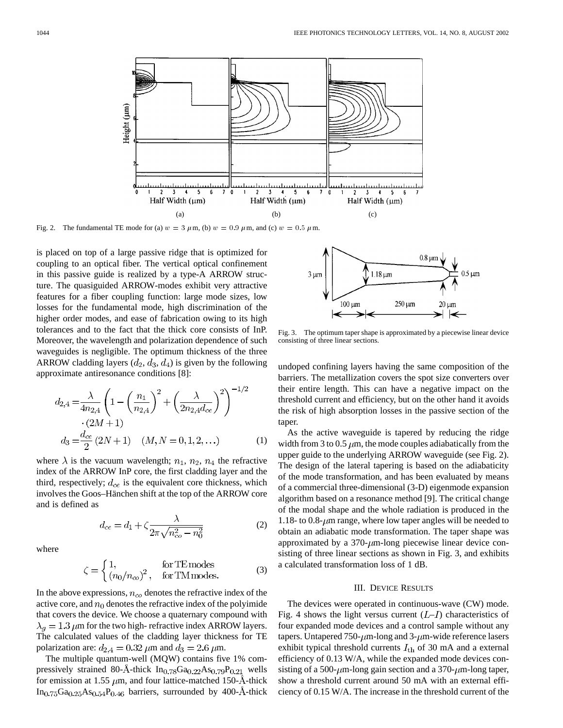

 $\overline{1}$ 

Fig. 2. The fundamental TE mode for (a)  $w = 3 \mu$ m, (b)  $w = 0.9 \mu$ m, and (c)  $w = 0.5 \mu$ m.

is placed on top of a large passive ridge that is optimized for coupling to an optical fiber. The vertical optical confinement in this passive guide is realized by a type-A ARROW structure. The quasiguided ARROW-modes exhibit very attractive features for a fiber coupling function: large mode sizes, low losses for the fundamental mode, high discrimination of the higher order modes, and ease of fabrication owing to its high tolerances and to the fact that the thick core consists of InP. Moreover, the wavelength and polarization dependence of such waveguides is negligible. The optimum thickness of the three ARROW cladding layers  $(d_2, d_3, d_4)$  is given by the following approximate antiresonance conditions [8]:

$$
d_{2,4} = \frac{\lambda}{4n_{2,4}} \left( 1 - \left( \frac{n_1}{n_{2,4}} \right)^2 + \left( \frac{\lambda}{2n_{2,4}d_{ce}} \right)^2 \right)^{-1/2}
$$
  
 
$$
\cdot (2M + 1)
$$
  

$$
d_3 = \frac{d_{ce}}{2} (2N + 1) \quad (M, N = 0, 1, 2, ...)
$$
 (1)

where  $\lambda$  is the vacuum wavelength;  $n_1$ ,  $n_2$ ,  $n_4$  the refractive index of the ARROW InP core, the first cladding layer and the third, respectively;  $d_{ce}$  is the equivalent core thickness, which involves the Goos–Hänchen shift at the top of the ARROW core and is defined as

$$
d_{ce} = d_1 + \zeta \frac{\lambda}{2\pi\sqrt{n_{co}^2 - n_0^2}}
$$
 (2)

where

$$
\zeta = \begin{cases} 1, & \text{for TE modes} \\ (n_0/n_{co})^2, & \text{for TM modes.} \end{cases}
$$
 (3)

In the above expressions,  $n_{co}$  denotes the refractive index of the active core, and  $n_0$  denotes the refractive index of the polyimide that covers the device. We choose a quaternary compound with  $\lambda_g = 1.3 \,\mu$ m for the two high- refractive index ARROW layers. The calculated values of the cladding layer thickness for TE polarization are:  $d_{2,4} = 0.32 \,\mu \text{m}$  and  $d_3 = 2.6 \,\mu \text{m}$ .

The multiple quantum-well (MQW) contains five 1% compressively strained 80-Å-thick  $In_{0.78}Ga_{0.22}As_{0.79}P_{0.21}$  wells for emission at 1.55  $\mu$ m, and four lattice-matched 150-Å-thick  $In <sub>0.75</sub> Ga<sub>0.25</sub> As <sub>0.54</sub>P<sub>0.46</sub> barriers, surrounded by 400-A-thick$ 



Fig. 3. The optimum taper shape is approximated by a piecewise linear device consisting of three linear sections.

undoped confining layers having the same composition of the barriers. The metallization covers the spot size converters over their entire length. This can have a negative impact on the threshold current and efficiency, but on the other hand it avoids the risk of high absorption losses in the passive section of the taper.

As the active waveguide is tapered by reducing the ridge width from 3 to 0.5  $\mu$ m, the mode couples adiabatically from the upper guide to the underlying ARROW waveguide (see Fig. 2). The design of the lateral tapering is based on the adiabaticity of the mode transformation, and has been evaluated by means of a commercial three-dimensional (3-D) eigenmode expansion algorithm based on a resonance method [9]. The critical change of the modal shape and the whole radiation is produced in the 1.18- to 0.8- $\mu$ m range, where low taper angles will be needed to obtain an adiabatic mode transformation. The taper shape was approximated by a  $370-\mu$ m-long piecewise linear device consisting of three linear sections as shown in Fig. 3, and exhibits a calculated transformation loss of 1 dB.

### III. DEVICE RESULTS

The devices were operated in continuous-wave (CW) mode. Fig. 4 shows the light versus current  $(L-I)$  characteristics of four expanded mode devices and a control sample without any tapers. Untapered  $750-\mu m$ -long and  $3-\mu m$ -wide reference lasers exhibit typical threshold currents  $I_{\text{th}}$  of 30 mA and a external efficiency of 0.13 W/A, while the expanded mode devices consisting of a 500- $\mu$ m-long gain section and a 370- $\mu$ m-long taper, show a threshold current around 50 mA with an external efficiency of 0.15 W/A. The increase in the threshold current of the